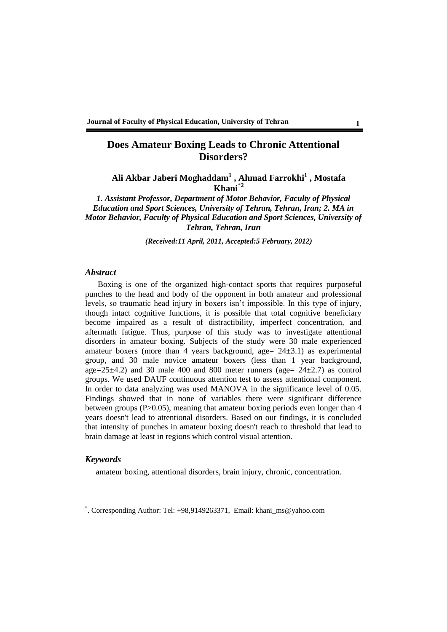### **Does Amateur Boxing Leads to Chronic Attentional Disorders?**

**Ali Akbar Jaberi Moghaddam<sup>1</sup> , Ahmad Farrokhi<sup>1</sup> , Mostafa Khani**\***<sup>2</sup>**

*1. Assistant Professor, Department of Motor Behavior, Faculty of Physical Education and Sport Sciences, University of Tehran, Tehran, Iran; 2. MA in Motor Behavior, Faculty of Physical Education and Sport Sciences, University of Tehran, Tehran, Iran*

*(Received:11 April, 2011, Accepted:5 February, 2012)*

#### *Abstract*

Boxing is one of the organized high-contact sports that requires purposeful punches to the head and body of the opponent in both amateur and professional levels, so traumatic head injury in boxers isn't impossible. In this type of injury, though intact cognitive functions, it is possible that total cognitive beneficiary become impaired as a result of distractibility, imperfect concentration, and aftermath fatigue. Thus, purpose of this study was to investigate attentional disorders in amateur boxing. Subjects of the study were 30 male experienced amateur boxers (more than 4 years background, age=  $24\pm3.1$ ) as experimental group, and 30 male novice amateur boxers (less than 1 year background, age= $25\pm4.2$ ) and 30 male 400 and 800 meter runners (age=  $24\pm2.7$ ) as control groups. We used DAUF continuous attention test to assess attentional component. In order to data analyzing was used MANOVA in the significance level of 0.05. Findings showed that in none of variables there were significant difference between groups (P>0.05), meaning that amateur boxing periods even longer than 4 years doesn't lead to attentional disorders. Based on our findings, it is concluded that intensity of punches in amateur boxing doesn't reach to threshold that lead to brain damage at least in regions which control visual attention.

### *Keywords*

 $\overline{a}$ 

amateur boxing, attentional disorders, brain injury, chronic, concentration.

<sup>\*</sup> . Corresponding Author: Tel: +98,9149263371, Email: khani\_ms@yahoo.com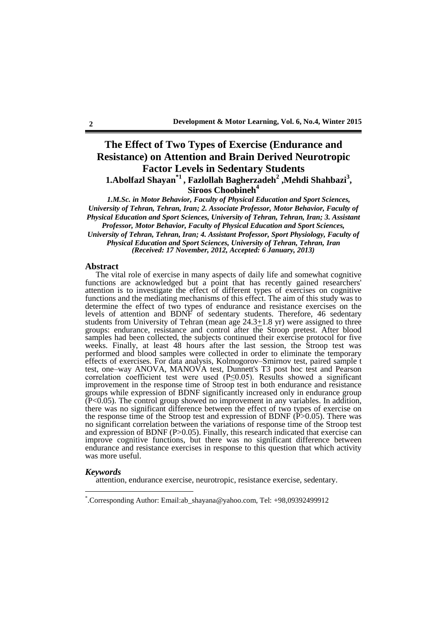# **The Effect of Two Types of Exercise (Endurance and Resistance) on Attention and Brain Derived Neurotropic Factor Levels in Sedentary Students**

**1.Abolfazl Shayan\*1 , Fazlollah Bagherzadeh<sup>2</sup> ,Mehdi Shahbazi<sup>3</sup> ,**

**Siroos Choobineh<sup>4</sup>**

*1.M.Sc. in Motor Behavior, Faculty of Physical Education and Sport Sciences, University of Tehran, Tehran, Iran; 2. Associate Professor, Motor Behavior, Faculty of Physical Education and Sport Sciences, University of Tehran, Tehran, Iran; 3. Assistant Professor, Motor Behavior, Faculty of Physical Education and Sport Sciences,* 

*University of Tehran, Tehran, Iran; 4. Assistant Professor, Sport Physiology, Faculty of Physical Education and Sport Sciences, University of Tehran, Tehran, Iran (Received: 17 November, 2012, Accepted: 6 January, 2013)*

#### **Abstract**

The vital role of exercise in many aspects of daily life and somewhat cognitive functions are acknowledged but a point that has recently gained researchers' attention is to investigate the effect of different types of exercises on cognitive functions and the mediating mechanisms of this effect. The aim of this study was to determine the effect of two types of endurance and resistance exercises on the levels of attention and BDNF of sedentary students. Therefore, 46 sedentary students from University of Tehran (mean age  $24.3 \pm 1.8$  yr) were assigned to three groups: endurance, resistance and control after the Stroop pretest. After blood samples had been collected, the subjects continued their exercise protocol for five weeks. Finally, at least 48 hours after the last session, the Stroop test was performed and blood samples were collected in order to eliminate the temporary effects of exercises. For data analysis, Kolmogorov–Smirnov test, paired sample t test, one–way ANOVA, MANOVA test, Dunnett's T3 post hoc test and Pearson correlation coefficient test were used (P≤0.05). Results showed a significant improvement in the response time of Stroop test in both endurance and resistance groups while expression of BDNF significantly increased only in endurance group  $\rm \bar{P}<0.05$ ). The control group showed no improvement in any variables. In addition, there was no significant difference between the effect of two types of exercise on the response time of the Stroop test and expression of BDNF  $(\overrightarrow{P}>0.05)$ . There was no significant correlation between the variations of response time of the Stroop test and expression of BDNF (P>0.05). Finally, this research indicated that exercise can improve cognitive functions, but there was no significant difference between endurance and resistance exercises in response to this question that which activity was more useful.

#### *Keywords*

 $\overline{a}$ 

attention, endurance exercise, neurotropic, resistance exercise, sedentary.

<sup>\*</sup> .Corresponding Author: Email:ab\_shayana@yahoo.com, Tel: +98,09392499912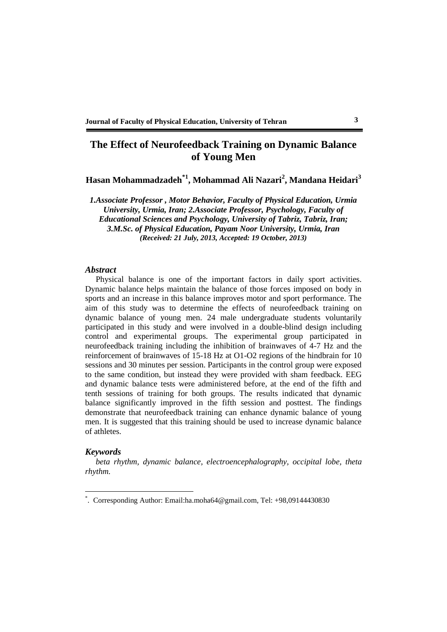## **The Effect of Neurofeedback Training on Dynamic Balance of Young Men**

**Hasan Mohammadzadeh\*1 , Mohammad Ali Nazari<sup>2</sup> , Mandana Heidari<sup>3</sup>**

*1.Associate Professor , Motor Behavior, Faculty of Physical Education, Urmia University, Urmia, Iran; 2.Associate Professor, Psychology, Faculty of Educational Sciences and Psychology, University of Tabriz, Tabriz, Iran; 3.M.Sc. of Physical Education, Payam Noor University, Urmia, Iran (Received: 21 July, 2013, Accepted: 19 October, 2013)*

#### *Abstract*

Physical balance is one of the important factors in daily sport activities. Dynamic balance helps maintain the balance of those forces imposed on body in sports and an increase in this balance improves motor and sport performance. The aim of this study was to determine the effects of neurofeedback training on dynamic balance of young men. 24 male undergraduate students voluntarily participated in this study and were involved in a double-blind design including control and experimental groups. The experimental group participated in neurofeedback training including the inhibition of brainwaves of 4-7 Hz and the reinforcement of brainwaves of 15-18 Hz at O1-O2 regions of the hindbrain for 10 sessions and 30 minutes per session. Participants in the control group were exposed to the same condition, but instead they were provided with sham feedback. EEG and dynamic balance tests were administered before, at the end of the fifth and tenth sessions of training for both groups. The results indicated that dynamic balance significantly improved in the fifth session and posttest. The findings demonstrate that neurofeedback training can enhance dynamic balance of young men. It is suggested that this training should be used to increase dynamic balance of athletes.

### *Keywords*

 $\overline{a}$ 

*beta rhythm, dynamic balance, electroencephalography, occipital lobe, theta rhythm.*

<sup>\*</sup> . Corresponding Author: Email:ha.moha64@gmail.com, Tel: +98,09144430830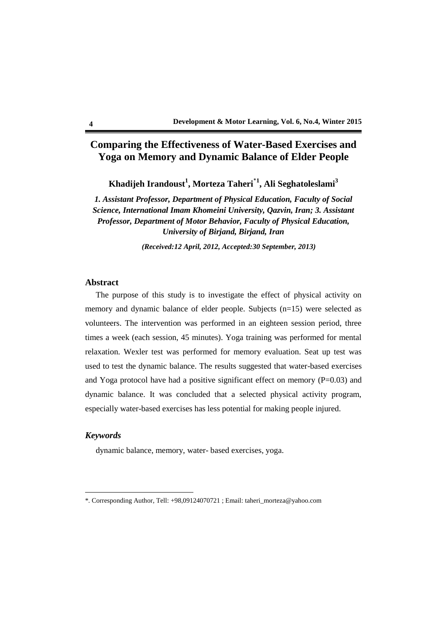## **Comparing the Effectiveness of Water-Based Exercises and Yoga on Memory and Dynamic Balance of Elder People**

**Khadijeh Irandoust<sup>1</sup> , Morteza Taheri**\***<sup>1</sup> , Ali Seghatoleslami<sup>3</sup>**

*1. Assistant Professor, Department of Physical Education, Faculty of Social Science, International Imam Khomeini University, Qazvin, Iran; 3. Assistant Professor, Department of Motor Behavior, Faculty of Physical Education, University of Birjand, Birjand, Iran*

*(Received:12 April, 2012, Accepted:30 September, 2013)*

### **Abstract**

The purpose of this study is to investigate the effect of physical activity on memory and dynamic balance of elder people. Subjects (n=15) were selected as volunteers. The intervention was performed in an eighteen session period, three times a week (each session, 45 minutes). Yoga training was performed for mental relaxation. Wexler test was performed for memory evaluation. Seat up test was used to test the dynamic balance. The results suggested that water-based exercises and Yoga protocol have had a positive significant effect on memory  $(P=0.03)$  and dynamic balance. It was concluded that a selected physical activity program, especially water-based exercises has less potential for making people injured.

#### *Keywords*

 $\overline{a}$ 

dynamic balance, memory, water- based exercises, yoga.

<sup>\*.</sup> Corresponding Author, Tell: +98,09124070721 ; Email: taheri\_morteza@yahoo.com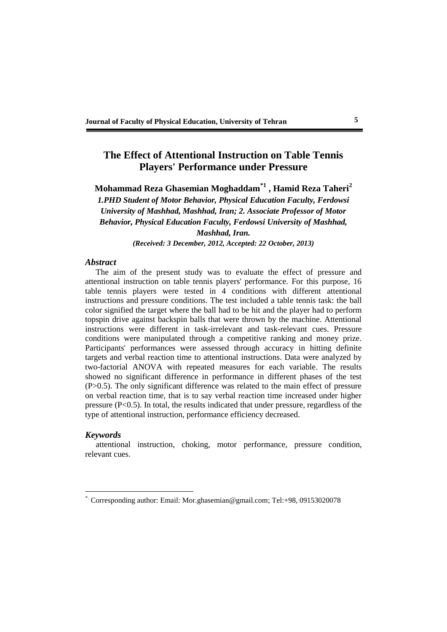### **The Effect of Attentional Instruction on Table Tennis Players' Performance under Pressure**

**Mohammad Reza Ghasemian Moghaddam\*1 , Hamid Reza Taheri<sup>2</sup>**

*1.PHD Student of Motor Behavior, Physical Education Faculty, Ferdowsi University of Mashhad, Mashhad, Iran; 2. Associate Professor of Motor Behavior, Physical Education Faculty, Ferdowsi University of Mashhad, Mashhad, Iran.*

*(Received: 3 December, 2012, Accepted: 22 October, 2013)*

### *Abstract*

The aim of the present study was to evaluate the effect of pressure and attentional instruction on table tennis players' performance. For this purpose, 16 table tennis players were tested in 4 conditions with different attentional instructions and pressure conditions. The test included a table tennis task: the ball color signified the target where the ball had to be hit and the player had to perform topspin drive against backspin balls that were thrown by the machine. Attentional instructions were different in task-irrelevant and task-relevant cues. Pressure conditions were manipulated through a competitive ranking and money prize. Participants' performances were assessed through accuracy in hitting definite targets and verbal reaction time to attentional instructions. Data were analyzed by two-factorial ANOVA with repeated measures for each variable. The results showed no significant difference in performance in different phases of the test (P>0.5). The only significant difference was related to the main effect of pressure on verbal reaction time, that is to say verbal reaction time increased under higher pressure (P<0.5). In total, the results indicated that under pressure, regardless of the type of attentional instruction, performance efficiency decreased.

#### *Keywords*

 $\overline{a}$ 

attentional instruction, choking, motor performance, pressure condition, relevant cues.

<sup>\*.</sup> Corresponding author: Email: Mor.ghasemian@gmail.com; Tel:+98, 09153020078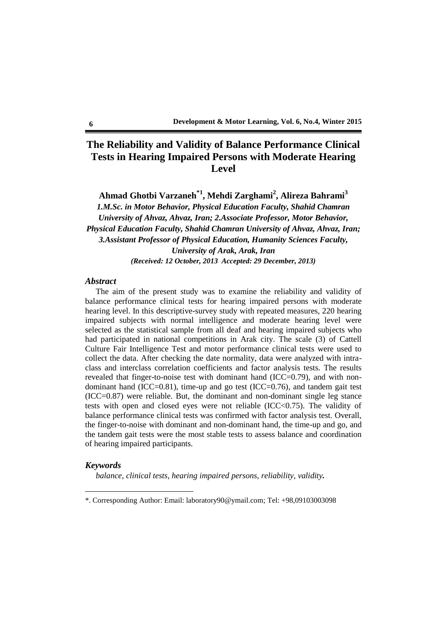## **The Reliability and Validity of Balance Performance Clinical Tests in Hearing Impaired Persons with Moderate Hearing Level**

**Ahmad Ghotbi Varzaneh\*1 , Mehdi Zarghami<sup>2</sup> , Alireza Bahrami<sup>3</sup>** *1.M.Sc. in Motor Behavior, Physical Education Faculty, Shahid Chamran University of Ahvaz, Ahvaz, Iran; 2.Associate Professor, Motor Behavior, Physical Education Faculty, Shahid Chamran University of Ahvaz, Ahvaz, Iran; 3.Assistant Professor of Physical Education, Humanity Sciences Faculty, University of Arak, Arak, Iran (Received: 12 October, 2013 Accepted: 29 December, 2013)*

#### *Abstract*

The aim of the present study was to examine the reliability and validity of balance performance clinical tests for hearing impaired persons with moderate hearing level. In this descriptive-survey study with repeated measures, 220 hearing impaired subjects with normal intelligence and moderate hearing level were selected as the statistical sample from all deaf and hearing impaired subjects who had participated in national competitions in Arak city. The scale (3) of Cattell Culture Fair Intelligence Test and motor performance clinical tests were used to collect the data. After checking the date normality, data were analyzed with intraclass and interclass correlation coefficients and factor analysis tests. The results revealed that finger-to-noise test with dominant hand (ICC=0.79), and with nondominant hand  $(ICC=0.81)$ , time-up and go test  $(ICC=0.76)$ , and tandem gait test (ICC=0.87) were reliable. But, the dominant and non-dominant single leg stance tests with open and closed eyes were not reliable  $(ICC<0.75)$ . The validity of balance performance clinical tests was confirmed with factor analysis test. Overall, the finger-to-noise with dominant and non-dominant hand, the time-up and go, and the tandem gait tests were the most stable tests to assess balance and coordination of hearing impaired participants.

### *Keywords*

 $\overline{a}$ 

*balance, clinical tests, hearing impaired persons, reliability, validity.*

<sup>\*.</sup> Corresponding Author: Email: laboratory90@ymail.com; Tel: +98,09103003098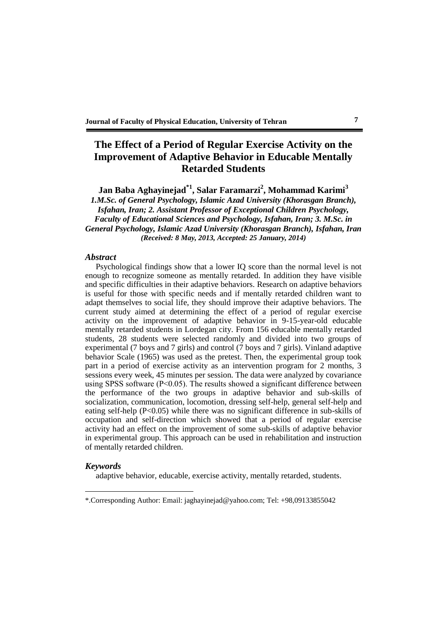## **The Effect of a Period of Regular Exercise Activity on the Improvement of Adaptive Behavior in Educable Mentally Retarded Students**

**Jan Baba Aghayinejad\*1 , Salar Faramarzi<sup>2</sup> , Mohammad Karimi<sup>3</sup>**

*1.M.Sc. of General Psychology, Islamic Azad University (Khorasgan Branch), Isfahan, Iran; 2. Assistant Professor of Exceptional Children Psychology, Faculty of Educational Sciences and Psychology, Isfahan, Iran; 3. M.Sc. in General Psychology, Islamic Azad University (Khorasgan Branch), Isfahan, Iran (Received: 8 May, 2013, Accepted: 25 January, 2014)*

#### *Abstract*

Psychological findings show that a lower IQ score than the normal level is not enough to recognize someone as mentally retarded. In addition they have visible and specific difficulties in their adaptive behaviors. Research on adaptive behaviors is useful for those with specific needs and if mentally retarded children want to adapt themselves to social life, they should improve their adaptive behaviors. The current study aimed at determining the effect of a period of regular exercise activity on the improvement of adaptive behavior in 9-15-year-old educable mentally retarded students in Lordegan city. From 156 educable mentally retarded students, 28 students were selected randomly and divided into two groups of experimental (7 boys and 7 girls) and control (7 boys and 7 girls). Vinland adaptive behavior Scale (1965) was used as the pretest. Then, the experimental group took part in a period of exercise activity as an intervention program for 2 months, 3 sessions every week, 45 minutes per session. The data were analyzed by covariance using SPSS software  $(P<0.05)$ . The results showed a significant difference between the performance of the two groups in adaptive behavior and sub-skills of socialization, communication, locomotion, dressing self-help, general self-help and eating self-help  $(P<0.05)$  while there was no significant difference in sub-skills of occupation and self-direction which showed that a period of regular exercise activity had an effect on the improvement of some sub-skills of adaptive behavior in experimental group. This approach can be used in rehabilitation and instruction of mentally retarded children.

#### *Keywords*

 $\overline{a}$ 

adaptive behavior, educable, exercise activity, mentally retarded, students.

<sup>\*.</sup>Corresponding Author: Email: jaghayinejad@yahoo.com; Tel: +98,09133855042